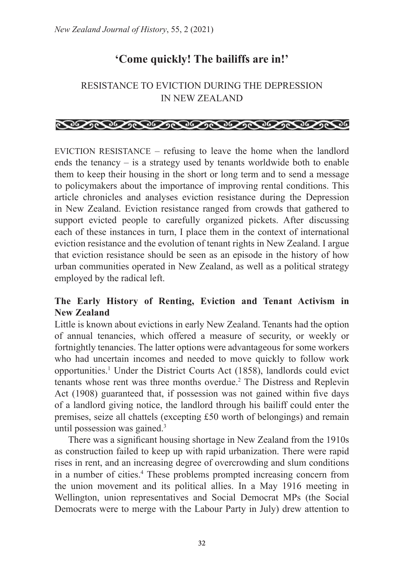# **'Come quickly! The bailiffs are in!'**

# RESISTANCE TO EVICTION DURING THE DEPRESSION IN NEW ZEALAND

# <u> RISPORT RISPORT PORTUGAL DE COMPONI</u>

EVICTION RESISTANCE – refusing to leave the home when the landlord ends the tenancy – is a strategy used by tenants worldwide both to enable them to keep their housing in the short or long term and to send a message to policymakers about the importance of improving rental conditions. This article chronicles and analyses eviction resistance during the Depression in New Zealand. Eviction resistance ranged from crowds that gathered to support evicted people to carefully organized pickets. After discussing each of these instances in turn, I place them in the context of international eviction resistance and the evolution of tenant rights in New Zealand. I argue that eviction resistance should be seen as an episode in the history of how urban communities operated in New Zealand, as well as a political strategy employed by the radical left.

## **The Early History of Renting, Eviction and Tenant Activism in New Zealand**

Little is known about evictions in early New Zealand. Tenants had the option of annual tenancies, which offered a measure of security, or weekly or fortnightly tenancies. The latter options were advantageous for some workers who had uncertain incomes and needed to move quickly to follow work opportunities.1 Under the District Courts Act (1858), landlords could evict tenants whose rent was three months overdue.2 The Distress and Replevin Act (1908) guaranteed that, if possession was not gained within five days of a landlord giving notice, the landlord through his bailiff could enter the premises, seize all chattels (excepting £50 worth of belongings) and remain until possession was gained.<sup>3</sup>

There was a significant housing shortage in New Zealand from the 1910s as construction failed to keep up with rapid urbanization. There were rapid rises in rent, and an increasing degree of overcrowding and slum conditions in a number of cities.4 These problems prompted increasing concern from the union movement and its political allies. In a May 1916 meeting in Wellington, union representatives and Social Democrat MPs (the Social Democrats were to merge with the Labour Party in July) drew attention to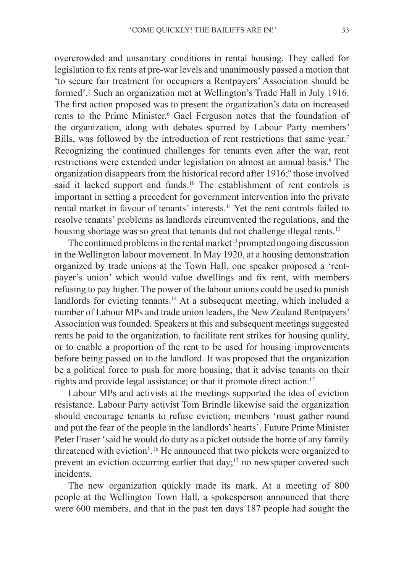overcrowded and unsanitary conditions in rental housing. They called for legislation to fix rents at pre-war levels and unanimously passed a motion that 'to secure fair treatment for occupiers a Rentpayers' Association should be formed'.5 Such an organization met at Wellington's Trade Hall in July 1916. The first action proposed was to present the organization's data on increased rents to the Prime Minister.<sup>6</sup> Gael Ferguson notes that the foundation of the organization, along with debates spurred by Labour Party members' Bills, was followed by the introduction of rent restrictions that same year.<sup>7</sup> Recognizing the continued challenges for tenants even after the war, rent restrictions were extended under legislation on almost an annual basis.<sup>8</sup> The organization disappears from the historical record after 1916;<sup>9</sup> those involved said it lacked support and funds.<sup>10</sup> The establishment of rent controls is important in setting a precedent for government intervention into the private rental market in favour of tenants' interests.11 Yet the rent controls failed to resolve tenants' problems as landlords circumvented the regulations, and the housing shortage was so great that tenants did not challenge illegal rents.<sup>12</sup>

The continued problems in the rental market<sup>13</sup> prompted ongoing discussion in the Wellington labour movement. In May 1920, at a housing demonstration organized by trade unions at the Town Hall, one speaker proposed a 'rentpayer's union' which would value dwellings and fix rent, with members refusing to pay higher. The power of the labour unions could be used to punish landlords for evicting tenants.<sup>14</sup> At a subsequent meeting, which included a number of Labour MPs and trade union leaders, the New Zealand Rentpayers' Association was founded. Speakers at this and subsequent meetings suggested rents be paid to the organization, to facilitate rent strikes for housing quality, or to enable a proportion of the rent to be used for housing improvements before being passed on to the landlord. It was proposed that the organization be a political force to push for more housing; that it advise tenants on their rights and provide legal assistance; or that it promote direct action.15

Labour MPs and activists at the meetings supported the idea of eviction resistance. Labour Party activist Tom Brindle likewise said the organization should encourage tenants to refuse eviction; members 'must gather round and put the fear of the people in the landlords' hearts'. Future Prime Minister Peter Fraser 'said he would do duty as a picket outside the home of any family threatened with eviction'.16 He announced that two pickets were organized to prevent an eviction occurring earlier that day;<sup>17</sup> no newspaper covered such incidents.

The new organization quickly made its mark. At a meeting of 800 people at the Wellington Town Hall, a spokesperson announced that there were 600 members, and that in the past ten days 187 people had sought the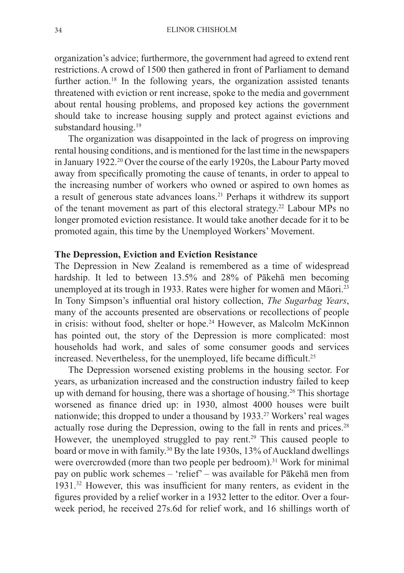organization's advice; furthermore, the government had agreed to extend rent restrictions.A crowd of 1500 then gathered in front of Parliament to demand further action.<sup>18</sup> In the following years, the organization assisted tenants threatened with eviction or rent increase, spoke to the media and government about rental housing problems, and proposed key actions the government should take to increase housing supply and protect against evictions and substandard housing.<sup>19</sup>

The organization was disappointed in the lack of progress on improving rental housing conditions, and is mentioned for the last time in the newspapers in January 1922.20 Over the course of the early 1920s, the Labour Party moved away from specifically promoting the cause of tenants, in order to appeal to the increasing number of workers who owned or aspired to own homes as a result of generous state advances loans.21 Perhaps it withdrew its support of the tenant movement as part of this electoral strategy.22 Labour MPs no longer promoted eviction resistance. It would take another decade for it to be promoted again, this time by the Unemployed Workers' Movement.

#### **The Depression, Eviction and Eviction Resistance**

The Depression in New Zealand is remembered as a time of widespread hardship. It led to between 13.5% and 28% of Pākehā men becoming unemployed at its trough in 1933. Rates were higher for women and Māori.<sup>23</sup> In Tony Simpson's influential oral history collection, *The Sugarbag Years*, many of the accounts presented are observations or recollections of people in crisis: without food, shelter or hope.<sup>24</sup> However, as Malcolm McKinnon has pointed out, the story of the Depression is more complicated: most households had work, and sales of some consumer goods and services increased. Nevertheless, for the unemployed, life became difficult.<sup>25</sup>

The Depression worsened existing problems in the housing sector. For years, as urbanization increased and the construction industry failed to keep up with demand for housing, there was a shortage of housing.<sup>26</sup> This shortage worsened as finance dried up: in 1930, almost 4000 houses were built nationwide; this dropped to under a thousand by 1933.<sup>27</sup> Workers' real wages actually rose during the Depression, owing to the fall in rents and prices.<sup>28</sup> However, the unemployed struggled to pay rent.<sup>29</sup> This caused people to board or move in with family.30 By the late 1930s, 13% of Auckland dwellings were overcrowded (more than two people per bedroom).<sup>31</sup> Work for minimal pay on public work schemes – 'relief' – was available for Pākehā men from 1931.32 However, this was insufficient for many renters, as evident in the figures provided by a relief worker in a 1932 letter to the editor. Over a fourweek period, he received 27s.6d for relief work, and 16 shillings worth of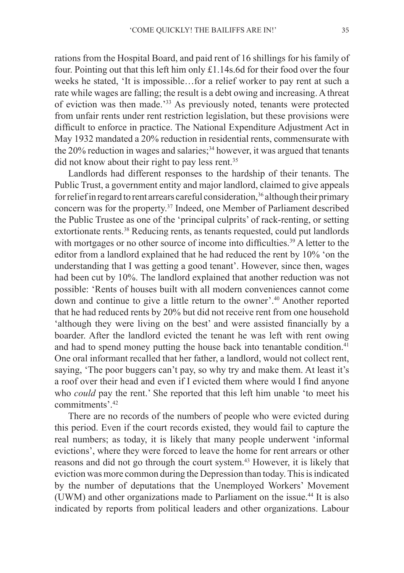rations from the Hospital Board, and paid rent of 16 shillings for his family of four. Pointing out that this left him only £1.14s.6d for their food over the four weeks he stated, 'It is impossible…for a relief worker to pay rent at such a rate while wages are falling; the result is a debt owing and increasing. A threat of eviction was then made.'33 As previously noted, tenants were protected from unfair rents under rent restriction legislation, but these provisions were difficult to enforce in practice. The National Expenditure Adjustment Act in May 1932 mandated a 20% reduction in residential rents, commensurate with the  $20\%$  reduction in wages and salaries;<sup>34</sup> however, it was argued that tenants did not know about their right to pay less rent.<sup>35</sup>

Landlords had different responses to the hardship of their tenants. The Public Trust, a government entity and major landlord, claimed to give appeals for relief in regard to rent arrears careful consideration,<sup>36</sup> although their primary concern was for the property.37 Indeed, one Member of Parliament described the Public Trustee as one of the 'principal culprits' of rack-renting, or setting extortionate rents.<sup>38</sup> Reducing rents, as tenants requested, could put landlords with mortgages or no other source of income into difficulties.<sup>39</sup> A letter to the editor from a landlord explained that he had reduced the rent by 10% 'on the understanding that I was getting a good tenant'. However, since then, wages had been cut by 10%. The landlord explained that another reduction was not possible: 'Rents of houses built with all modern conveniences cannot come down and continue to give a little return to the owner'.40 Another reported that he had reduced rents by 20% but did not receive rent from one household 'although they were living on the best' and were assisted financially by a boarder. After the landlord evicted the tenant he was left with rent owing and had to spend money putting the house back into tenantable condition.<sup>41</sup> One oral informant recalled that her father, a landlord, would not collect rent, saying, 'The poor buggers can't pay, so why try and make them. At least it's a roof over their head and even if I evicted them where would I find anyone who *could* pay the rent.' She reported that this left him unable 'to meet his commitments'.<sup>42</sup>

There are no records of the numbers of people who were evicted during this period. Even if the court records existed, they would fail to capture the real numbers; as today, it is likely that many people underwent 'informal evictions', where they were forced to leave the home for rent arrears or other reasons and did not go through the court system.43 However, it is likely that eviction was more common during the Depression than today. This is indicated by the number of deputations that the Unemployed Workers' Movement (UWM) and other organizations made to Parliament on the issue.<sup>44</sup> It is also indicated by reports from political leaders and other organizations. Labour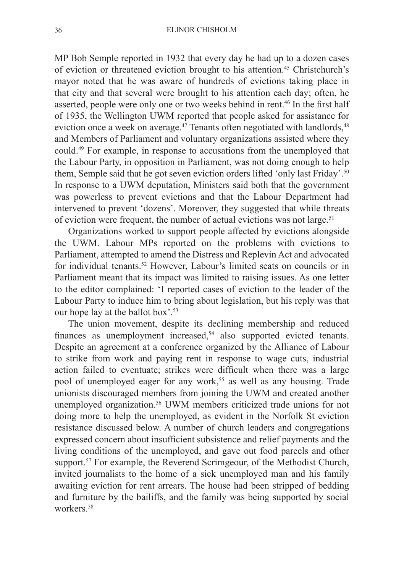MP Bob Semple reported in 1932 that every day he had up to a dozen cases of eviction or threatened eviction brought to his attention.45 Christchurch's mayor noted that he was aware of hundreds of evictions taking place in that city and that several were brought to his attention each day; often, he asserted, people were only one or two weeks behind in rent.46 In the first half of 1935, the Wellington UWM reported that people asked for assistance for eviction once a week on average. $47$  Tenants often negotiated with landlords,  $48$ and Members of Parliament and voluntary organizations assisted where they could.49 For example, in response to accusations from the unemployed that the Labour Party, in opposition in Parliament, was not doing enough to help them, Semple said that he got seven eviction orders lifted 'only last Friday'.50 In response to a UWM deputation, Ministers said both that the government was powerless to prevent evictions and that the Labour Department had intervened to prevent 'dozens'. Moreover, they suggested that while threats of eviction were frequent, the number of actual evictions was not large.<sup>51</sup>

Organizations worked to support people affected by evictions alongside the UWM. Labour MPs reported on the problems with evictions to Parliament, attempted to amend the Distress and Replevin Act and advocated for individual tenants.<sup>52</sup> However, Labour's limited seats on councils or in Parliament meant that its impact was limited to raising issues. As one letter to the editor complained: 'I reported cases of eviction to the leader of the Labour Party to induce him to bring about legislation, but his reply was that our hope lay at the ballot box'.<sup>53</sup>

The union movement, despite its declining membership and reduced finances as unemployment increased,<sup>54</sup> also supported evicted tenants. Despite an agreement at a conference organized by the Alliance of Labour to strike from work and paying rent in response to wage cuts, industrial action failed to eventuate; strikes were difficult when there was a large pool of unemployed eager for any work,<sup>55</sup> as well as any housing. Trade unionists discouraged members from joining the UWM and created another unemployed organization.<sup>56</sup> UWM members criticized trade unions for not doing more to help the unemployed, as evident in the Norfolk St eviction resistance discussed below. A number of church leaders and congregations expressed concern about insufficient subsistence and relief payments and the living conditions of the unemployed, and gave out food parcels and other support.<sup>57</sup> For example, the Reverend Scrimgeour, of the Methodist Church, invited journalists to the home of a sick unemployed man and his family awaiting eviction for rent arrears. The house had been stripped of bedding and furniture by the bailiffs, and the family was being supported by social workers<sup>58</sup>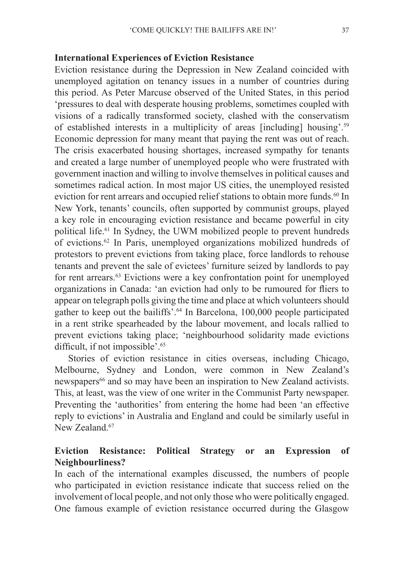### **International Experiences of Eviction Resistance**

Eviction resistance during the Depression in New Zealand coincided with unemployed agitation on tenancy issues in a number of countries during this period. As Peter Marcuse observed of the United States, in this period 'pressures to deal with desperate housing problems, sometimes coupled with visions of a radically transformed society, clashed with the conservatism of established interests in a multiplicity of areas [including] housing'.59 Economic depression for many meant that paying the rent was out of reach. The crisis exacerbated housing shortages, increased sympathy for tenants and created a large number of unemployed people who were frustrated with government inaction and willing to involve themselves in political causes and sometimes radical action. In most major US cities, the unemployed resisted eviction for rent arrears and occupied relief stations to obtain more funds.<sup>60</sup> In New York, tenants' councils, often supported by communist groups, played a key role in encouraging eviction resistance and became powerful in city political life.61 In Sydney, the UWM mobilized people to prevent hundreds of evictions.62 In Paris, unemployed organizations mobilized hundreds of protestors to prevent evictions from taking place, force landlords to rehouse tenants and prevent the sale of evictees' furniture seized by landlords to pay for rent arrears.63 Evictions were a key confrontation point for unemployed organizations in Canada: 'an eviction had only to be rumoured for fliers to appear on telegraph polls giving the time and place at which volunteers should gather to keep out the bailiffs'.64 In Barcelona, 100,000 people participated in a rent strike spearheaded by the labour movement, and locals rallied to prevent evictions taking place; 'neighbourhood solidarity made evictions difficult, if not impossible'.<sup>65</sup>

Stories of eviction resistance in cities overseas, including Chicago, Melbourne, Sydney and London, were common in New Zealand's newspapers<sup>66</sup> and so may have been an inspiration to New Zealand activists. This, at least, was the view of one writer in the Communist Party newspaper. Preventing the 'authorities' from entering the home had been 'an effective reply to evictions' in Australia and England and could be similarly useful in New Zealand<sup>67</sup>

### **Eviction Resistance: Political Strategy or an Expression of Neighbourliness?**

In each of the international examples discussed, the numbers of people who participated in eviction resistance indicate that success relied on the involvement of local people, and not only those who were politically engaged. One famous example of eviction resistance occurred during the Glasgow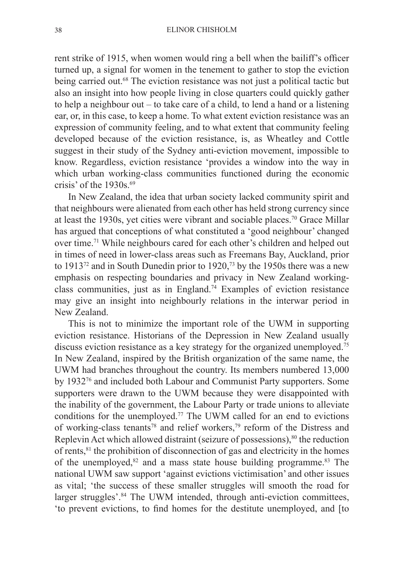rent strike of 1915, when women would ring a bell when the bailiff's officer turned up, a signal for women in the tenement to gather to stop the eviction being carried out.<sup>68</sup> The eviction resistance was not just a political tactic but also an insight into how people living in close quarters could quickly gather to help a neighbour out – to take care of a child, to lend a hand or a listening ear, or, in this case, to keep a home. To what extent eviction resistance was an expression of community feeling, and to what extent that community feeling developed because of the eviction resistance, is, as Wheatley and Cottle suggest in their study of the Sydney anti-eviction movement, impossible to know. Regardless, eviction resistance 'provides a window into the way in which urban working-class communities functioned during the economic crisis' of the  $1930s$ <sup>69</sup>

In New Zealand, the idea that urban society lacked community spirit and that neighbours were alienated from each other has held strong currency since at least the 1930s, yet cities were vibrant and sociable places.70 Grace Millar has argued that conceptions of what constituted a 'good neighbour' changed over time.71 While neighbours cared for each other's children and helped out in times of need in lower-class areas such as Freemans Bay, Auckland, prior to 1913<sup>72</sup> and in South Dunedin prior to 1920,<sup>73</sup> by the 1950s there was a new emphasis on respecting boundaries and privacy in New Zealand workingclass communities, just as in England.<sup>74</sup> Examples of eviction resistance may give an insight into neighbourly relations in the interwar period in New Zealand.

This is not to minimize the important role of the UWM in supporting eviction resistance. Historians of the Depression in New Zealand usually discuss eviction resistance as a key strategy for the organized unemployed.<sup>75</sup> In New Zealand, inspired by the British organization of the same name, the UWM had branches throughout the country. Its members numbered 13,000 by 193276 and included both Labour and Communist Party supporters. Some supporters were drawn to the UWM because they were disappointed with the inability of the government, the Labour Party or trade unions to alleviate conditions for the unemployed.77 The UWM called for an end to evictions of working-class tenants<sup>78</sup> and relief workers,<sup>79</sup> reform of the Distress and Replevin Act which allowed distraint (seizure of possessions), $80$  the reduction of rents,81 the prohibition of disconnection of gas and electricity in the homes of the unemployed, $82$  and a mass state house building programme. $83$  The national UWM saw support 'against evictions victimisation' and other issues as vital; 'the success of these smaller struggles will smooth the road for larger struggles'.<sup>84</sup> The UWM intended, through anti-eviction committees, 'to prevent evictions, to find homes for the destitute unemployed, and [to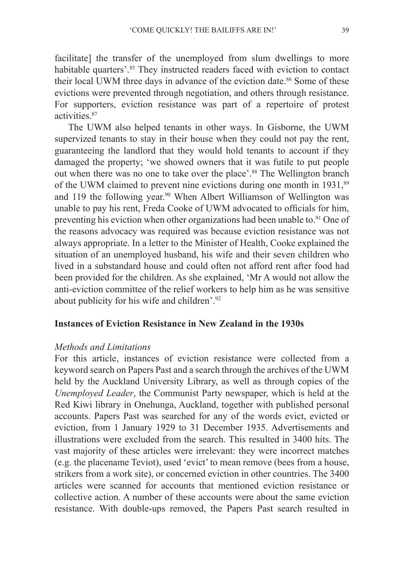facilitate] the transfer of the unemployed from slum dwellings to more habitable quarters'.<sup>85</sup> They instructed readers faced with eviction to contact their local UWM three days in advance of the eviction date.<sup>86</sup> Some of these evictions were prevented through negotiation, and others through resistance. For supporters, eviction resistance was part of a repertoire of protest activities.<sup>87</sup>

The UWM also helped tenants in other ways. In Gisborne, the UWM supervized tenants to stay in their house when they could not pay the rent, guaranteeing the landlord that they would hold tenants to account if they damaged the property; 'we showed owners that it was futile to put people out when there was no one to take over the place'.<sup>88</sup> The Wellington branch of the UWM claimed to prevent nine evictions during one month in 1931,<sup>89</sup> and 119 the following year.<sup>90</sup> When Albert Williamson of Wellington was unable to pay his rent, Freda Cooke of UWM advocated to officials for him, preventing his eviction when other organizations had been unable to.<sup>91</sup> One of the reasons advocacy was required was because eviction resistance was not always appropriate. In a letter to the Minister of Health, Cooke explained the situation of an unemployed husband, his wife and their seven children who lived in a substandard house and could often not afford rent after food had been provided for the children. As she explained, 'Mr A would not allow the anti-eviction committee of the relief workers to help him as he was sensitive about publicity for his wife and children'.92

### **Instances of Eviction Resistance in New Zealand in the 1930s**

#### *Methods and Limitations*

For this article, instances of eviction resistance were collected from a keyword search on Papers Past and a search through the archives of the UWM held by the Auckland University Library, as well as through copies of the *Unemployed Leader*, the Communist Party newspaper, which is held at the Red Kiwi library in Onehunga, Auckland, together with published personal accounts. Papers Past was searched for any of the words evict, evicted or eviction, from 1 January 1929 to 31 December 1935. Advertisements and illustrations were excluded from the search. This resulted in 3400 hits. The vast majority of these articles were irrelevant: they were incorrect matches (e.g. the placename Teviot), used 'evict' to mean remove (bees from a house, strikers from a work site), or concerned eviction in other countries. The 3400 articles were scanned for accounts that mentioned eviction resistance or collective action. A number of these accounts were about the same eviction resistance. With double-ups removed, the Papers Past search resulted in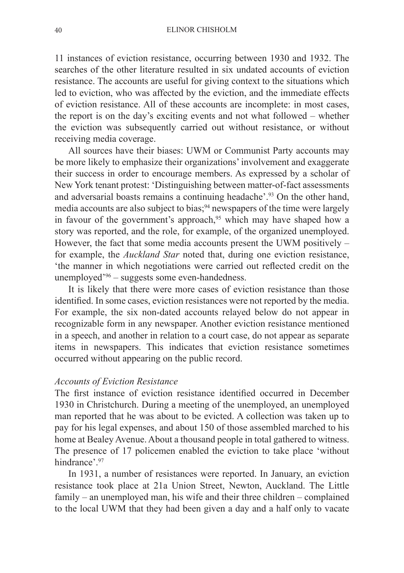11 instances of eviction resistance, occurring between 1930 and 1932. The searches of the other literature resulted in six undated accounts of eviction resistance. The accounts are useful for giving context to the situations which led to eviction, who was affected by the eviction, and the immediate effects of eviction resistance. All of these accounts are incomplete: in most cases, the report is on the day's exciting events and not what followed – whether the eviction was subsequently carried out without resistance, or without receiving media coverage.

All sources have their biases: UWM or Communist Party accounts may be more likely to emphasize their organizations' involvement and exaggerate their success in order to encourage members. As expressed by a scholar of New York tenant protest: 'Distinguishing between matter-of-fact assessments and adversarial boasts remains a continuing headache'.<sup>93</sup> On the other hand, media accounts are also subject to bias;<sup>94</sup> newspapers of the time were largely in favour of the government's approach, $95$  which may have shaped how a story was reported, and the role, for example, of the organized unemployed. However, the fact that some media accounts present the UWM positively – for example, the *Auckland Star* noted that, during one eviction resistance, 'the manner in which negotiations were carried out reflected credit on the unemployed'96 – suggests some even-handedness.

It is likely that there were more cases of eviction resistance than those identified. In some cases, eviction resistances were not reported by the media. For example, the six non-dated accounts relayed below do not appear in recognizable form in any newspaper. Another eviction resistance mentioned in a speech, and another in relation to a court case, do not appear as separate items in newspapers. This indicates that eviction resistance sometimes occurred without appearing on the public record.

#### *Accounts of Eviction Resistance*

The first instance of eviction resistance identified occurred in December 1930 in Christchurch. During a meeting of the unemployed, an unemployed man reported that he was about to be evicted. A collection was taken up to pay for his legal expenses, and about 150 of those assembled marched to his home at Bealey Avenue. About a thousand people in total gathered to witness. The presence of 17 policemen enabled the eviction to take place 'without hindrance'.<sup>97</sup>

In 1931, a number of resistances were reported. In January, an eviction resistance took place at 21a Union Street, Newton, Auckland. The Little family – an unemployed man, his wife and their three children – complained to the local UWM that they had been given a day and a half only to vacate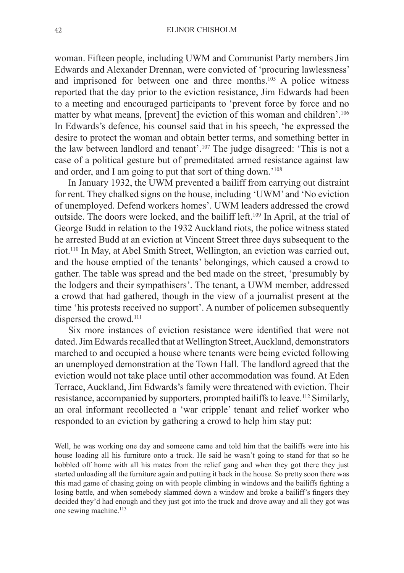woman. Fifteen people, including UWM and Communist Party members Jim Edwards and Alexander Drennan, were convicted of 'procuring lawlessness' and imprisoned for between one and three months.<sup>105</sup> A police witness reported that the day prior to the eviction resistance, Jim Edwards had been to a meeting and encouraged participants to 'prevent force by force and no matter by what means. [prevent] the eviction of this woman and children'.<sup>106</sup> In Edwards's defence, his counsel said that in his speech, 'he expressed the desire to protect the woman and obtain better terms, and something better in the law between landlord and tenant'.107 The judge disagreed: 'This is not a case of a political gesture but of premeditated armed resistance against law and order, and I am going to put that sort of thing down.'108

In January 1932, the UWM prevented a bailiff from carrying out distraint for rent. They chalked signs on the house, including 'UWM' and 'No eviction of unemployed. Defend workers homes'. UWM leaders addressed the crowd outside. The doors were locked, and the bailiff left.109 In April, at the trial of George Budd in relation to the 1932 Auckland riots, the police witness stated he arrested Budd at an eviction at Vincent Street three days subsequent to the riot.110 In May, at Abel Smith Street, Wellington, an eviction was carried out, and the house emptied of the tenants' belongings, which caused a crowd to gather. The table was spread and the bed made on the street, 'presumably by the lodgers and their sympathisers'. The tenant, a UWM member, addressed a crowd that had gathered, though in the view of a journalist present at the time 'his protests received no support'. A number of policemen subsequently dispersed the crowd.<sup>111</sup>

Six more instances of eviction resistance were identified that were not dated. Jim Edwards recalled that at Wellington Street, Auckland, demonstrators marched to and occupied a house where tenants were being evicted following an unemployed demonstration at the Town Hall. The landlord agreed that the eviction would not take place until other accommodation was found. At Eden Terrace, Auckland, Jim Edwards's family were threatened with eviction. Their resistance, accompanied by supporters, prompted bailiffs to leave.112 Similarly, an oral informant recollected a 'war cripple' tenant and relief worker who responded to an eviction by gathering a crowd to help him stay put:

Well, he was working one day and someone came and told him that the bailiffs were into his house loading all his furniture onto a truck. He said he wasn't going to stand for that so he hobbled off home with all his mates from the relief gang and when they got there they just started unloading all the furniture again and putting it back in the house. So pretty soon there was this mad game of chasing going on with people climbing in windows and the bailiffs fighting a losing battle, and when somebody slammed down a window and broke a bailiff's fingers they decided they'd had enough and they just got into the truck and drove away and all they got was one sewing machine.113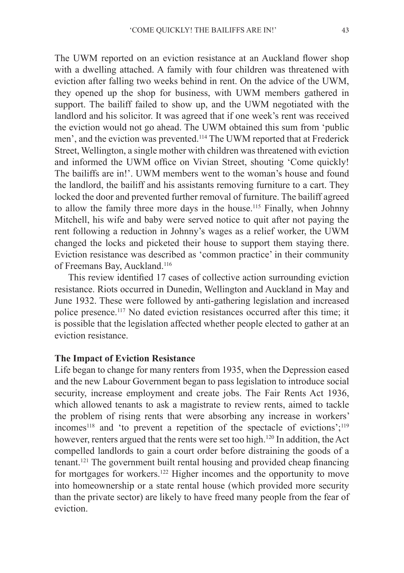The UWM reported on an eviction resistance at an Auckland flower shop with a dwelling attached. A family with four children was threatened with eviction after falling two weeks behind in rent. On the advice of the UWM, they opened up the shop for business, with UWM members gathered in support. The bailiff failed to show up, and the UWM negotiated with the landlord and his solicitor. It was agreed that if one week's rent was received the eviction would not go ahead. The UWM obtained this sum from 'public men', and the eviction was prevented.114 The UWM reported that at Frederick Street, Wellington, a single mother with children was threatened with eviction and informed the UWM office on Vivian Street, shouting 'Come quickly! The bailiffs are in!'. UWM members went to the woman's house and found the landlord, the bailiff and his assistants removing furniture to a cart. They locked the door and prevented further removal of furniture. The bailiff agreed to allow the family three more days in the house.115 Finally, when Johnny Mitchell, his wife and baby were served notice to quit after not paying the rent following a reduction in Johnny's wages as a relief worker, the UWM changed the locks and picketed their house to support them staying there. Eviction resistance was described as 'common practice' in their community of Freemans Bay, Auckland.116

This review identified 17 cases of collective action surrounding eviction resistance. Riots occurred in Dunedin, Wellington and Auckland in May and June 1932. These were followed by anti-gathering legislation and increased police presence.117 No dated eviction resistances occurred after this time; it is possible that the legislation affected whether people elected to gather at an eviction resistance.

#### **The Impact of Eviction Resistance**

Life began to change for many renters from 1935, when the Depression eased and the new Labour Government began to pass legislation to introduce social security, increase employment and create jobs. The Fair Rents Act 1936, which allowed tenants to ask a magistrate to review rents, aimed to tackle the problem of rising rents that were absorbing any increase in workers' incomes<sup>118</sup> and 'to prevent a repetition of the spectacle of evictions';<sup>119</sup> however, renters argued that the rents were set too high.<sup>120</sup> In addition, the Act compelled landlords to gain a court order before distraining the goods of a tenant.121 The government built rental housing and provided cheap financing for mortgages for workers.122 Higher incomes and the opportunity to move into homeownership or a state rental house (which provided more security than the private sector) are likely to have freed many people from the fear of eviction.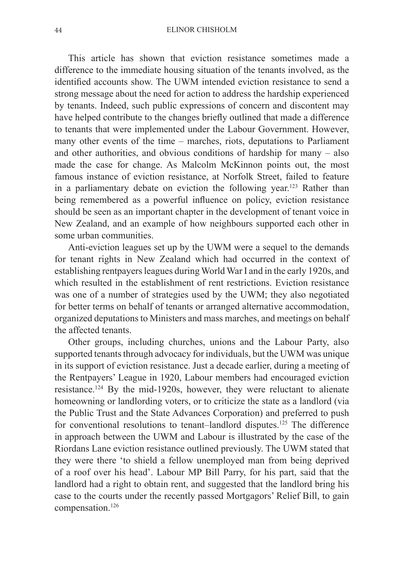This article has shown that eviction resistance sometimes made a difference to the immediate housing situation of the tenants involved, as the identified accounts show. The UWM intended eviction resistance to send a strong message about the need for action to address the hardship experienced by tenants. Indeed, such public expressions of concern and discontent may have helped contribute to the changes briefly outlined that made a difference to tenants that were implemented under the Labour Government. However, many other events of the time – marches, riots, deputations to Parliament and other authorities, and obvious conditions of hardship for many – also made the case for change. As Malcolm McKinnon points out, the most famous instance of eviction resistance, at Norfolk Street, failed to feature in a parliamentary debate on eviction the following year.123 Rather than being remembered as a powerful influence on policy, eviction resistance should be seen as an important chapter in the development of tenant voice in New Zealand, and an example of how neighbours supported each other in some urban communities.

Anti-eviction leagues set up by the UWM were a sequel to the demands for tenant rights in New Zealand which had occurred in the context of establishing rentpayers leagues during World War I and in the early 1920s, and which resulted in the establishment of rent restrictions. Eviction resistance was one of a number of strategies used by the UWM; they also negotiated for better terms on behalf of tenants or arranged alternative accommodation, organized deputations to Ministers and mass marches, and meetings on behalf the affected tenants.

Other groups, including churches, unions and the Labour Party, also supported tenants through advocacy for individuals, but the UWM was unique in its support of eviction resistance. Just a decade earlier, during a meeting of the Rentpayers' League in 1920, Labour members had encouraged eviction resistance.124 By the mid-1920s, however, they were reluctant to alienate homeowning or landlording voters, or to criticize the state as a landlord (via the Public Trust and the State Advances Corporation) and preferred to push for conventional resolutions to tenant–landlord disputes.<sup>125</sup> The difference in approach between the UWM and Labour is illustrated by the case of the Riordans Lane eviction resistance outlined previously. The UWM stated that they were there 'to shield a fellow unemployed man from being deprived of a roof over his head'. Labour MP Bill Parry, for his part, said that the landlord had a right to obtain rent, and suggested that the landlord bring his case to the courts under the recently passed Mortgagors' Relief Bill, to gain compensation.126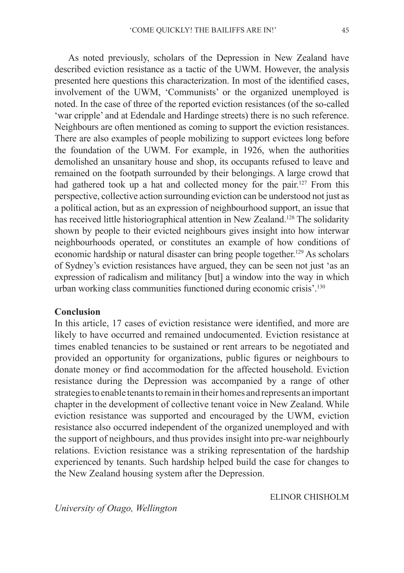As noted previously, scholars of the Depression in New Zealand have described eviction resistance as a tactic of the UWM. However, the analysis presented here questions this characterization. In most of the identified cases, involvement of the UWM, 'Communists' or the organized unemployed is noted. In the case of three of the reported eviction resistances (of the so-called 'war cripple' and at Edendale and Hardinge streets) there is no such reference. Neighbours are often mentioned as coming to support the eviction resistances. There are also examples of people mobilizing to support evictees long before the foundation of the UWM. For example, in 1926, when the authorities demolished an unsanitary house and shop, its occupants refused to leave and remained on the footpath surrounded by their belongings. A large crowd that had gathered took up a hat and collected money for the pair.<sup>127</sup> From this perspective, collective action surrounding eviction can be understood not just as a political action, but as an expression of neighbourhood support, an issue that has received little historiographical attention in New Zealand.<sup>128</sup> The solidarity shown by people to their evicted neighbours gives insight into how interwar neighbourhoods operated, or constitutes an example of how conditions of economic hardship or natural disaster can bring people together.129 As scholars of Sydney's eviction resistances have argued, they can be seen not just 'as an expression of radicalism and militancy [but] a window into the way in which urban working class communities functioned during economic crisis'.130

### **Conclusion**

In this article, 17 cases of eviction resistance were identified, and more are likely to have occurred and remained undocumented. Eviction resistance at times enabled tenancies to be sustained or rent arrears to be negotiated and provided an opportunity for organizations, public figures or neighbours to donate money or find accommodation for the affected household. Eviction resistance during the Depression was accompanied by a range of other strategies to enable tenants to remain in their homes and represents an important chapter in the development of collective tenant voice in New Zealand. While eviction resistance was supported and encouraged by the UWM, eviction resistance also occurred independent of the organized unemployed and with the support of neighbours, and thus provides insight into pre-war neighbourly relations. Eviction resistance was a striking representation of the hardship experienced by tenants. Such hardship helped build the case for changes to the New Zealand housing system after the Depression.

ELINOR CHISHOLM

*University of Otago, Wellington*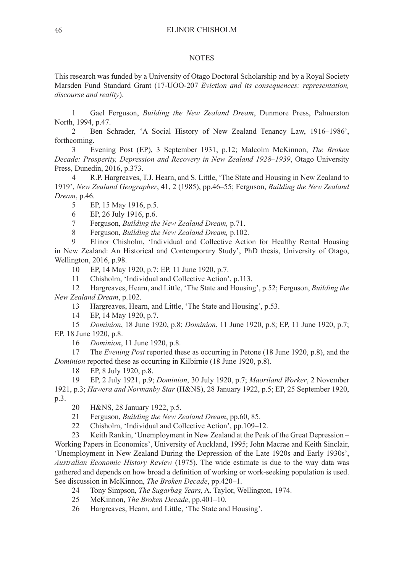#### **NOTES**

This research was funded by a University of Otago Doctoral Scholarship and by a Royal Society Marsden Fund Standard Grant (17-UOO-207 *Eviction and its consequences: representation, discourse and reality*).

1 Gael Ferguson, *Building the New Zealand Dream*, Dunmore Press, Palmerston North, 1994, p.47.

2 Ben Schrader, 'A Social History of New Zealand Tenancy Law, 1916–1986', forthcoming.

3 Evening Post (EP), 3 September 1931, p.12; Malcolm McKinnon, *The Broken Decade: Prosperity, Depression and Recovery in New Zealand 1928–1939*, Otago University Press, Dunedin, 2016, p.373.

4 R.P. Hargreaves, T.J. Hearn, and S. Little, 'The State and Housing in New Zealand to 1919', *New Zealand Geographer*, 41, 2 (1985), pp.46–55; Ferguson, *Building the New Zealand Dream*, p.46.

5 EP, 15 May 1916, p.5.<br>6 EP 26 July 1916 p.6

6 EP, 26 July 1916, p.6.<br>7 Ferguson. *Building the* 

7 Ferguson, *Building the New Zealand Dream,* p.71.

8 Ferguson, *Building the New Zealand Dream,* p.102.

9 Elinor Chisholm, 'Individual and Collective Action for Healthy Rental Housing in New Zealand: An Historical and Contemporary Study', PhD thesis, University of Otago, Wellington, 2016, p.98.

10 EP, 14 May 1920, p.7; EP, 11 June 1920, p.7.

11 Chisholm, 'Individual and Collective Action', p.113.

12 Hargreaves, Hearn, and Little, 'The State and Housing', p.52; Ferguson, *Building the New Zealand Dream*, p.102.

13 Hargreaves, Hearn, and Little, 'The State and Housing', p.53.

14 EP, 14 May 1920, p.7.

15 *Dominion*, 18 June 1920, p.8; *Dominion*, 11 June 1920, p.8; EP, 11 June 1920, p.7; EP, 18 June 1920, p.8.

16 *Dominion*, 11 June 1920, p.8.

17 The *Evening Post* reported these as occurring in Petone (18 June 1920, p.8), and the *Dominion* reported these as occurring in Kilbirnie (18 June 1920, p.8).

18 EP, 8 July 1920, p.8.

19 EP, 2 July 1921, p.9; *Dominion*, 30 July 1920, p.7; *Maoriland Worker*, 2 November 1921, p.3; *Hawera and Normanby Star* (H&NS), 28 January 1922, p.5; EP, 25 September 1920, p.3.

20 H&NS, 28 January 1922, p.5.

21 Ferguson, *Building the New Zealand Dream*, pp.60, 85.

22 Chisholm, 'Individual and Collective Action', pp.109–12.

23 Keith Rankin, 'Unemployment in New Zealand at the Peak of the Great Depression – Working Papers in Economics', University of Auckland, 1995; John Macrae and Keith Sinclair, 'Unemployment in New Zealand During the Depression of the Late 1920s and Early 1930s', *Australian Economic History Review* (1975). The wide estimate is due to the way data was gathered and depends on how broad a definition of working or work-seeking population is used. See discussion in McKinnon, *The Broken Decade*, pp.420–1.

- 24 Tony Simpson, *The Sugarbag Years*, A. Taylor, Wellington, 1974.
- 25 McKinnon, *The Broken Decade*, pp.401–10.
- 26 Hargreaves, Hearn, and Little, 'The State and Housing'.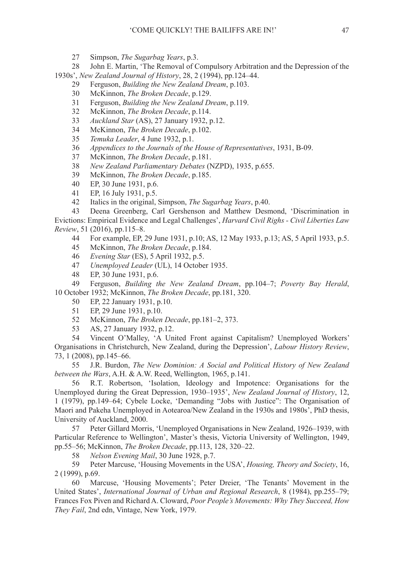27 Simpson, *The Sugarbag Years*, p.3.

28 John E. Martin, 'The Removal of Compulsory Arbitration and the Depression of the 1930s', *New Zealand Journal of History*, 28, 2 (1994), pp.124–44.

- 29 Ferguson, *Building the New Zealand Dream*, p.103.
- 30 McKinnon, *The Broken Decade*, p.129.
- 31 Ferguson, *Building the New Zealand Dream*, p.119.
- 32 McKinnon, *The Broken Decade*, p.114.
- 33 *Auckland Star* (AS), 27 January 1932, p.12.
- 34 McKinnon, *The Broken Decade*, p.102.
- 35 *Temuka Leader*, 4 June 1932, p.1.
- 36 *Appendices to the Journals of the House of Representatives*, 1931, B-09.
- 37 McKinnon, *The Broken Decade*, p.181.
- 38 *New Zealand Parliamentary Debates* (NZPD), 1935, p.655.
- 39 McKinnon, *The Broken Decade*, p.185.
- EP, 30 June 1931, p.6.
- 41 EP, 16 July 1931, p.5.<br>42 Italics in the original.
- 42 Italics in the original, Simpson, *The Sugarbag Years*, p.40.

Deena Greenberg, Carl Gershenson and Matthew Desmond, 'Discrimination in Evictions: Empirical Evidence and Legal Challenges', *Harvard Civil Righs - Civil Liberties Law Review*, 51 (2016), pp.115–8.

- 44 For example, EP, 29 June 1931, p.10; AS, 12 May 1933, p.13; AS, 5 April 1933, p.5.
- 45 McKinnon, *The Broken Decade*, p.184.
- 46 *Evening Star* (ES), 5 April 1932, p.5.
- 47 *Unemployed Leader* (UL), 14 October 1935.
- EP, 30 June 1931, p.6.
- 49 Ferguson, *Building the New Zealand Dream*, pp.104–7; *Poverty Bay Herald*, 10 October 1932; McKinnon, *The Broken Decade*, pp.181, 320.
	- 50 EP, 22 January 1931, p.10.
	- 51 EP, 29 June 1931, p.10.<br>52 McKinnon. The Broken
	- 52 McKinnon, *The Broken Decade*, pp.181–2, 373.
	- 53 AS, 27 January 1932, p.12.

54 Vincent O'Malley, 'A United Front against Capitalism? Unemployed Workers' Organisations in Christchurch, New Zealand, during the Depression', *Labour History Review*, 73, 1 (2008), pp.145–66.

55 J.R. Burdon, *The New Dominion: A Social and Political History of New Zealand between the Wars*, A.H. & A.W. Reed, Wellington, 1965, p.141.

56 R.T. Robertson, 'Isolation, Ideology and Impotence: Organisations for the Unemployed during the Great Depression, 1930–1935', *New Zealand Journal of History*, 12, 1 (1979), pp.149–64; Cybele Locke, 'Demanding "Jobs with Justice": The Organisation of Maori and Pakeha Unemployed in Aotearoa/New Zealand in the 1930s and 1980s', PhD thesis, University of Auckland, 2000.

57 Peter Gillard Morris, 'Unemployed Organisations in New Zealand, 1926–1939, with Particular Reference to Wellington', Master's thesis, Victoria University of Wellington, 1949, pp.55–56; McKinnon, *The Broken Decade*, pp.113, 128, 320–22.

58 *Nelson Evening Mail*, 30 June 1928, p.7.

59 Peter Marcuse, 'Housing Movements in the USA', *Housing, Theory and Society*, 16, 2 (1999), p.69.

60 Marcuse, 'Housing Movements'; Peter Dreier, 'The Tenants' Movement in the United States', *International Journal of Urban and Regional Research*, 8 (1984), pp.255–79; Frances Fox Piven and Richard A. Cloward, *Poor People's Movements: Why They Succeed, How They Fail*, 2nd edn, Vintage, New York, 1979.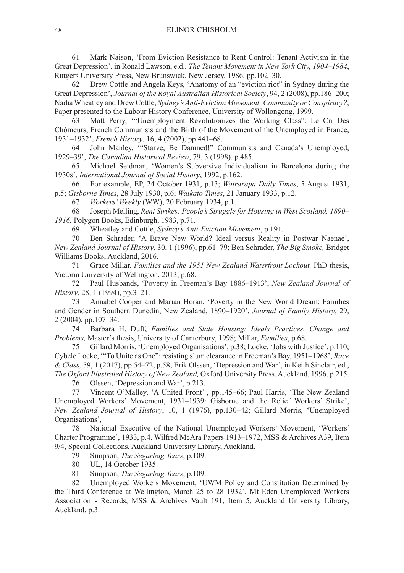61 Mark Naison, 'From Eviction Resistance to Rent Control: Tenant Activism in the Great Depression', in Ronald Lawson, e.d., *The Tenant Movement in New York City, 1904–1984*, Rutgers University Press, New Brunswick, New Jersey, 1986, pp.102–30.

62 Drew Cottle and Angela Keys, 'Anatomy of an "eviction riot" in Sydney during the Great Depression', *Journal of the Royal Australian Historical Society*, 94, 2 (2008), pp.186–200; Nadia Wheatley and Drew Cottle, *Sydney's Anti-Eviction Movement: Community or Conspiracy?*, Paper presented to the Labour History Conference, University of Wollongong, 1999.

63 Matt Perry, '"Unemployment Revolutionizes the Working Class": Le Cri Des Chômeurs, French Communists and the Birth of the Movement of the Unemployed in France, 1931–1932', *French History*, 16, 4 (2002), pp.441–68.

64 John Manley, '"Starve, Be Damned!" Communists and Canada's Unemployed, 1929–39', *The Canadian Historical Review*, 79, 3 (1998), p.485.

65 Michael Seidman, 'Women's Subversive Individualism in Barcelona during the 1930s', *International Journal of Social History*, 1992, p.162.

66 For example, EP, 24 October 1931, p.13; *Wairarapa Daily Times*, 5 August 1931, p.5; *Gisborne Times*, 28 July 1930, p.6; *Waikato Times*, 21 January 1933, p.12.

67 *Workers' Weekly* (WW), 20 February 1934, p.1.

68 Joseph Melling, *Rent Strikes: People's Struggle for Housing in West Scotland, 1890– 1916,* Polygon Books, Edinburgh, 1983, p.71.

69 Wheatley and Cottle, *Sydney's Anti-Eviction Movement*, p.191.

70 Ben Schrader, 'A Brave New World? Ideal versus Reality in Postwar Naenae', *New Zealand Journal of History*, 30, 1 (1996), pp.61–79; Ben Schrader, *The Big Smoke,* Bridget Williams Books, Auckland, 2016.

71 Grace Millar, *Families and the 1951 New Zealand Waterfront Lockout,* PhD thesis, Victoria University of Wellington, 2013, p.68.

72 Paul Husbands, 'Poverty in Freeman's Bay 1886–1913', *New Zealand Journal of History*, 28, 1 (1994), pp.3–21.

73 Annabel Cooper and Marian Horan, 'Poverty in the New World Dream: Families and Gender in Southern Dunedin, New Zealand, 1890–1920', *Journal of Family History*, 29, 2 (2004), pp.107–34.

74 Barbara H. Duff, *Families and State Housing: Ideals Practices, Change and Problems,* Master's thesis, University of Canterbury, 1998; Millar, *Families*, p.68.

75 Gillard Morris, 'Unemployed Organisations', p.38; Locke, 'Jobs with Justice', p.110; Cybele Locke, '"To Unite as One": resisting slum clearance in Freeman's Bay, 1951–1968', *Race & Class,* 59, 1 (2017), pp.54–72, p.58; Erik Olssen, 'Depression and War', in Keith Sinclair, ed., *The Oxford Illustrated History of New Zealand,* Oxford University Press, Auckland, 1996, p.215.

76 Olssen, 'Depression and War', p.213.

77 Vincent O'Malley, 'A United Front' , pp.145–66; Paul Harris, 'The New Zealand Unemployed Workers' Movement, 1931–1939: Gisborne and the Relief Workers' Strike', *New Zealand Journal of History*, 10, 1 (1976), pp.130–42; Gillard Morris, 'Unemployed Organisations',

78 National Executive of the National Unemployed Workers' Movement, 'Workers' Charter Programme', 1933, p.4. Wilfred McAra Papers 1913–1972, MSS & Archives A39, Item 9/4, Special Collections, Auckland University Library, Auckland.

79 Simpson, *The Sugarbag Years*, p.109.

80 UL, 14 October 1935.

81 Simpson, *The Sugarbag Years*, p.109.

82 Unemployed Workers Movement, 'UWM Policy and Constitution Determined by the Third Conference at Wellington, March 25 to 28 1932', Mt Eden Unemployed Workers Association - Records, MSS & Archives Vault 191, Item 5, Auckland University Library, Auckland, p.3.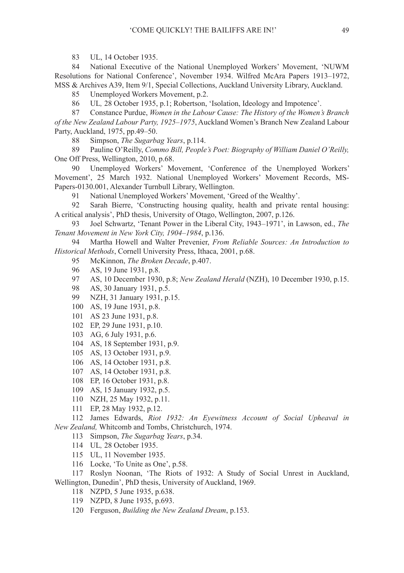UL, 14 October 1935.

 National Executive of the National Unemployed Workers' Movement, 'NUWM Resolutions for National Conference', November 1934. Wilfred McAra Papers 1913–1972, MSS & Archives A39, Item 9/1, Special Collections, Auckland University Library, Auckland.

85 Unemployed Workers Movement, p.2.<br>86 UIL 28 October 1935, p.1: Robertson

UL, 28 October 1935, p.1; Robertson, 'Isolation, Ideology and Impotence'.

 Constance Purdue, *Women in the Labour Cause: The History of the Women's Branch of the New Zealand Labour Party, 1925–1975*, Auckland Women's Branch New Zealand Labour Party, Auckland, 1975, pp.49–50.

Simpson, *The Sugarbag Years*, p.114.

 Pauline O'Reilly, *Commo Bill, People's Poet: Biography of William Daniel O'Reilly,*  One Off Press, Wellington, 2010, p.68.

 Unemployed Workers' Movement, 'Conference of the Unemployed Workers' Movement', 25 March 1932. National Unemployed Workers' Movement Records, MS-Papers-0130.001, Alexander Turnbull Library, Wellington.

National Unemployed Workers' Movement, 'Greed of the Wealthy'.

Sarah Bierre, 'Constructing housing quality, health and private rental housing: A critical analysis', PhD thesis, University of Otago, Wellington, 2007, p.126.

 Joel Schwartz, 'Tenant Power in the Liberal City, 1943–1971', in Lawson, ed., *The Tenant Movement in New York City, 1904–1984*, p.136.

 Martha Howell and Walter Prevenier, *From Reliable Sources: An Introduction to Historical Methods*, Cornell University Press, Ithaca, 2001, p.68.

McKinnon, *The Broken Decade*, p.407.

- 96 AS, 19 June 1931, p.8.<br>97 AS 10 December 1930
- AS, 10 December 1930, p.8; *New Zealand Herald* (NZH), 10 December 1930, p.15.
- AS, 30 January 1931, p.5.
- NZH, 31 January 1931, p.15.
- AS, 19 June 1931, p.8.
- AS 23 June 1931, p.8.
- EP, 29 June 1931, p.10.
- AG, 6 July 1931, p.6.
- AS, 18 September 1931, p.9.
- AS, 13 October 1931, p.9.
- AS, 14 October 1931, p.8.
- AS, 14 October 1931, p.8.
- EP, 16 October 1931, p.8.
- AS, 15 January 1932, p.5.
- NZH, 25 May 1932, p.11.
- EP, 28 May 1932, p.12.

 James Edwards, *Riot 1932: An Eyewitness Account of Social Upheaval in New Zealand,* Whitcomb and Tombs, Christchurch, 1974.

Simpson, *The Sugarbag Years*, p.34.

- UL*,* 28 October 1935.
- UL, 11 November 1935.
- Locke, 'To Unite as One', p.58.

 Roslyn Noonan, 'The Riots of 1932: A Study of Social Unrest in Auckland, Wellington, Dunedin', PhD thesis, University of Auckland, 1969.

- NZPD, 5 June 1935, p.638.
- NZPD, 8 June 1935, p.693.
- Ferguson, *Building the New Zealand Dream*, p.153.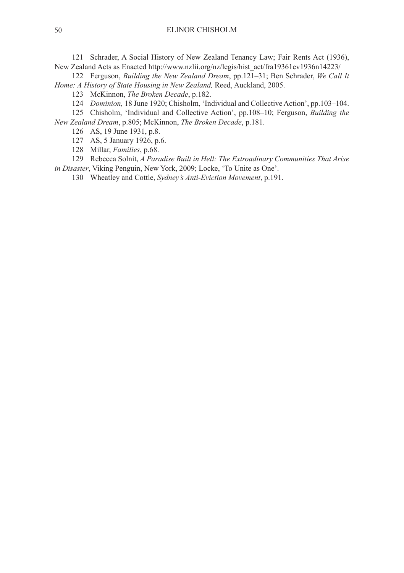Schrader, A Social History of New Zealand Tenancy Law; Fair Rents Act (1936), New Zealand Acts as Enacted http://www.nzlii.org/nz/legis/hist\_act/fra19361ev1936n14223/

 Ferguson, *Building the New Zealand Dream*, pp.121–31; Ben Schrader, *We Call It Home: A History of State Housing in New Zealand,* Reed, Auckland, 2005.

McKinnon, *The Broken Decade*, p.182.

*Dominion,* 18 June 1920; Chisholm, 'Individual and Collective Action', pp.103–104.

 Chisholm, 'Individual and Collective Action', pp.108–10; Ferguson, *Building the New Zealand Dream*, p.805; McKinnon, *The Broken Decade*, p.181.

AS, 19 June 1931, p.8.

AS, 5 January 1926, p.6.

Millar, *Families*, p.68.

 Rebecca Solnit, *A Paradise Built in Hell: The Extroadinary Communities That Arise in Disaster*, Viking Penguin, New York, 2009; Locke, 'To Unite as One'.

Wheatley and Cottle, *Sydney's Anti-Eviction Movement*, p.191.